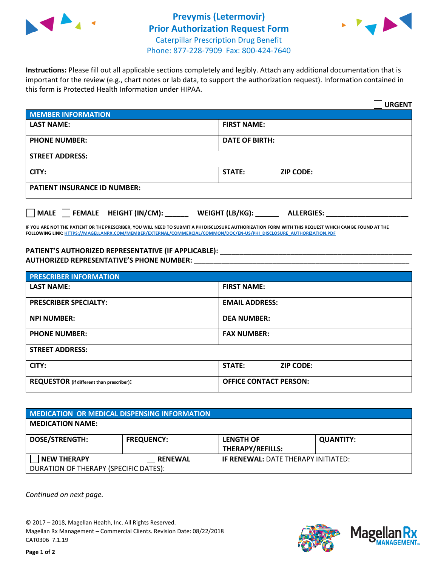



**Instructions:** Please fill out all applicable sections completely and legibly. Attach any additional documentation that is important for the review (e.g., chart notes or lab data, to support the authorization request). Information contained in this form is Protected Health Information under HIPAA.

|                                       | <b>URGENT</b>                        |  |  |  |
|---------------------------------------|--------------------------------------|--|--|--|
| <b>MEMBER INFORMATION</b>             |                                      |  |  |  |
| <b>LAST NAME:</b>                     | <b>FIRST NAME:</b>                   |  |  |  |
| <b>PHONE NUMBER:</b>                  | <b>DATE OF BIRTH:</b>                |  |  |  |
| <b>STREET ADDRESS:</b>                |                                      |  |  |  |
| CITY:                                 | STATE:<br><b>ZIP CODE:</b>           |  |  |  |
| <b>PATIENT INSURANCE ID NUMBER:</b>   |                                      |  |  |  |
| FEMALE HEIGHT (IN/CM):<br><b>MALE</b> | WEIGHT (LB/KG):<br><b>ALLERGIES:</b> |  |  |  |

**IF YOU ARE NOT THE PATIENT OR THE PRESCRIBER, YOU WILL NEED TO SUBMIT A PHI DISCLOSURE AUTHORIZATION FORM WITH THIS REQUEST WHICH CAN BE FOUND AT THE FOLLOWING LINK[: HTTPS://MAGELLANRX.COM/MEMBER/EXTERNAL/COMMERCIAL/COMMON/DOC/EN-US/PHI\\_DISCLOSURE\\_AUTHORIZATION.PDF](https://magellanrx.com/member/external/commercial/common/doc/en-us/PHI_Disclosure_Authorization.pdf)**

PATIENT'S AUTHORIZED REPRESENTATIVE (IF APPLICABLE): \_\_\_\_\_\_\_\_\_\_\_\_\_\_\_\_\_\_\_\_\_\_\_\_\_\_\_ **AUTHORIZED REPRESENTATIVE'S PHONE NUMBER:** \_\_\_\_\_\_\_\_\_\_\_\_\_\_\_\_\_\_\_\_\_\_\_\_\_\_\_\_\_\_\_\_\_\_\_\_\_\_\_\_\_\_\_\_\_\_\_\_\_\_\_\_\_\_\_

| <b>PRESCRIBER INFORMATION</b>             |                                   |  |  |  |
|-------------------------------------------|-----------------------------------|--|--|--|
| <b>LAST NAME:</b>                         | <b>FIRST NAME:</b>                |  |  |  |
| <b>PRESCRIBER SPECIALTY:</b>              | <b>EMAIL ADDRESS:</b>             |  |  |  |
| <b>NPI NUMBER:</b>                        | <b>DEA NUMBER:</b>                |  |  |  |
| <b>PHONE NUMBER:</b>                      | <b>FAX NUMBER:</b>                |  |  |  |
| <b>STREET ADDRESS:</b>                    |                                   |  |  |  |
| CITY:                                     | <b>STATE:</b><br><b>ZIP CODE:</b> |  |  |  |
| REQUESTOR (if different than prescriber): | <b>OFFICE CONTACT PERSON:</b>     |  |  |  |

| <b>MEDICATION OR MEDICAL DISPENSING INFORMATION</b> |                   |                                            |                  |  |  |
|-----------------------------------------------------|-------------------|--------------------------------------------|------------------|--|--|
| <b>MEDICATION NAME:</b>                             |                   |                                            |                  |  |  |
| <b>DOSE/STRENGTH:</b>                               | <b>FREQUENCY:</b> | <b>LENGTH OF</b>                           | <b>QUANTITY:</b> |  |  |
|                                                     |                   | <b>THERAPY/REFILLS:</b>                    |                  |  |  |
| <b>NEW THERAPY</b>                                  | <b>RENEWAL</b>    | <b>IF RENEWAL: DATE THERAPY INITIATED:</b> |                  |  |  |
| DURATION OF THERAPY (SPECIFIC DATES):               |                   |                                            |                  |  |  |

*Continued on next page.*

© 2017 – 2018, Magellan Health, Inc. All Rights Reserved. Magellan Rx Management – Commercial Clients. Revision Date: 08/22/2018 CAT0306 7.1.19